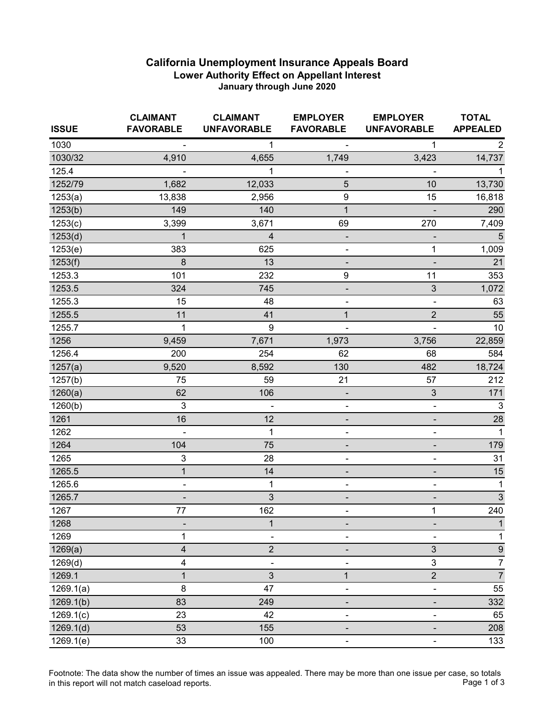## **California Unemployment Insurance Appeals Board Lower Authority Effect on Appellant Interest January through June 2020**

| <b>ISSUE</b> | <b>CLAIMANT</b><br><b>FAVORABLE</b> | <b>CLAIMANT</b><br><b>UNFAVORABLE</b> | <b>EMPLOYER</b><br><b>FAVORABLE</b> | <b>EMPLOYER</b><br><b>UNFAVORABLE</b> | <b>TOTAL</b><br><b>APPEALED</b> |
|--------------|-------------------------------------|---------------------------------------|-------------------------------------|---------------------------------------|---------------------------------|
| 1030         |                                     | 1                                     |                                     | 1                                     | 2                               |
| 1030/32      | 4,910                               | 4,655                                 | 1,749                               | 3,423                                 | 14,737                          |
| 125.4        |                                     | 1                                     |                                     | $\blacksquare$                        |                                 |
| 1252/79      | 1,682                               | 12,033                                | 5                                   | 10                                    | 13,730                          |
| 1253(a)      | 13,838                              | 2,956                                 | 9                                   | 15                                    | 16,818                          |
| 1253(b)      | 149                                 | 140                                   | $\mathbf{1}$                        |                                       | 290                             |
| 1253(c)      | 3,399                               | 3,671                                 | 69                                  | 270                                   | 7,409                           |
| 1253(d)      | $\mathbf{1}$                        | $\overline{\mathbf{4}}$               |                                     |                                       | $\overline{5}$                  |
| 1253(e)      | 383                                 | 625                                   |                                     | 1                                     | 1,009                           |
| 1253(f)      | 8                                   | 13                                    |                                     |                                       | 21                              |
| 1253.3       | 101                                 | 232                                   | $\boldsymbol{9}$                    | 11                                    | 353                             |
| 1253.5       | 324                                 | 745                                   | $\overline{\phantom{0}}$            | $\sqrt{3}$                            | 1,072                           |
| 1255.3       | 15                                  | 48                                    |                                     | $\blacksquare$                        | 63                              |
| 1255.5       | 11                                  | 41                                    | $\mathbf{1}$                        | $\overline{2}$                        | 55                              |
| 1255.7       | 1                                   | 9                                     |                                     |                                       | 10                              |
| 1256         | 9,459                               | 7,671                                 | 1,973                               | 3,756                                 | 22,859                          |
| 1256.4       | 200                                 | 254                                   | 62                                  | 68                                    | 584                             |
| 1257(a)      | 9,520                               | 8,592                                 | 130                                 | 482                                   | 18,724                          |
| 1257(b)      | 75                                  | 59                                    | 21                                  | 57                                    | 212                             |
| 1260(a)      | 62                                  | 106                                   |                                     | $\sqrt{3}$                            | 171                             |
| 1260(b)      | 3                                   |                                       | $\overline{\phantom{a}}$            | $\blacksquare$                        | $\sqrt{3}$                      |
| 1261         | 16                                  | 12                                    | -                                   | $\overline{\phantom{a}}$              | 28                              |
| 1262         | $\blacksquare$                      | 1                                     | $\qquad \qquad \blacksquare$        | $\qquad \qquad \blacksquare$          | $\mathbf{1}$                    |
| 1264         | 104                                 | 75                                    |                                     | ۰                                     | 179                             |
| 1265         | 3                                   | 28                                    | Ξ,                                  | $\qquad \qquad \blacksquare$          | 31                              |
| 1265.5       | $\mathbf{1}$                        | 14                                    | -                                   | $\overline{\phantom{a}}$              | 15                              |
| 1265.6       | $\blacksquare$                      | 1                                     | $\qquad \qquad \blacksquare$        | $\qquad \qquad \blacksquare$          | $\mathbf{1}$                    |
| 1265.7       | -                                   | 3                                     |                                     | -                                     | $\sqrt{3}$                      |
| 1267         | 77                                  | 162                                   | ٠                                   | $\mathbf{1}$                          | 240                             |
| 1268         |                                     | 1                                     |                                     |                                       | 1                               |
| 1269         | 1                                   |                                       |                                     |                                       | 1                               |
| 1269(a)      | 4                                   | $\overline{2}$                        |                                     | $\sqrt{3}$                            | $\boldsymbol{9}$                |
| 1269(d)      | 4                                   |                                       |                                     | 3                                     | 7                               |
| 1269.1       | $\mathbf{1}$                        | $\mathfrak{S}$                        | $\mathbf{1}$                        | $\overline{2}$                        | $\overline{7}$                  |
| 1269.1(a)    | $\bf 8$                             | 47                                    |                                     |                                       | 55                              |
| 1269.1(b)    | 83                                  | 249                                   |                                     |                                       | 332                             |
| 1269.1(c)    | 23                                  | 42                                    |                                     | $\overline{a}$                        | 65                              |
| 1269.1(d)    | 53                                  | 155                                   |                                     |                                       | 208                             |
| 1269.1(e)    | 33                                  | 100                                   | $\blacksquare$                      | $\blacksquare$                        | 133                             |

Footnote: The data show the number of times an issue was appealed. There may be more than one issue per case, so totals<br>Page 1 of 3 in this report will not match caseload reports.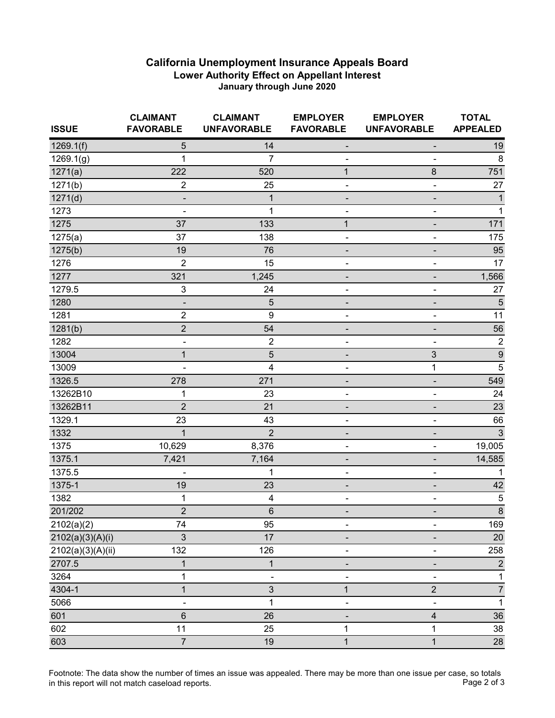## **California Unemployment Insurance Appeals Board Lower Authority Effect on Appellant Interest January through June 2020**

| <b>ISSUE</b>      | <b>CLAIMANT</b><br><b>FAVORABLE</b> | <b>CLAIMANT</b><br><b>UNFAVORABLE</b> | <b>EMPLOYER</b><br><b>FAVORABLE</b> | <b>EMPLOYER</b><br><b>UNFAVORABLE</b> | <b>TOTAL</b><br><b>APPEALED</b> |
|-------------------|-------------------------------------|---------------------------------------|-------------------------------------|---------------------------------------|---------------------------------|
| 1269.1(f)         | 5                                   | 14                                    |                                     |                                       | 19                              |
| 1269.1(g)         | 1                                   | 7                                     |                                     | $\overline{\phantom{a}}$              | 8                               |
| 1271(a)           | 222                                 | 520                                   | 1                                   | 8                                     | 751                             |
| 1271(b)           | $\overline{c}$                      | 25                                    | -                                   | -                                     | 27                              |
| 1271(d)           |                                     | 1                                     |                                     |                                       | $\mathbf{1}$                    |
| 1273              |                                     | 1                                     |                                     |                                       | $\mathbf 1$                     |
| 1275              | 37                                  | 133                                   | $\mathbf{1}$                        | -                                     | 171                             |
| 1275(a)           | 37                                  | 138                                   |                                     | -                                     | 175                             |
| 1275(b)           | 19                                  | 76                                    |                                     | ٠                                     | 95                              |
| 1276              | $\overline{2}$                      | 15                                    |                                     | -                                     | 17                              |
| 1277              | 321                                 | 1,245                                 |                                     |                                       | 1,566                           |
| 1279.5            | $\mathbf{3}$                        | 24                                    |                                     |                                       | 27                              |
| 1280              |                                     | 5                                     |                                     |                                       | $\sqrt{5}$                      |
| 1281              | $\overline{c}$                      | 9                                     | -                                   | -                                     | 11                              |
| 1281(b)           | $\overline{2}$                      | 54                                    |                                     |                                       | 56                              |
| 1282              | $\qquad \qquad \blacksquare$        | $\boldsymbol{2}$                      | $\overline{\phantom{0}}$            |                                       | $\overline{\mathbf{c}}$         |
| 13004             | $\overline{1}$                      | 5                                     |                                     | $\mathbf{3}$                          | $\overline{9}$                  |
| 13009             | $\blacksquare$                      | 4                                     |                                     | 1                                     | 5                               |
| 1326.5            | 278                                 | 271                                   |                                     | -                                     | 549                             |
| 13262B10          | 1                                   | 23                                    |                                     |                                       | 24                              |
| 13262B11          | $\overline{2}$                      | 21                                    |                                     |                                       | 23                              |
| 1329.1            | 23                                  | 43                                    |                                     | $\qquad \qquad \blacksquare$          | 66                              |
| 1332              | $\mathbf{1}$                        | $\overline{2}$                        |                                     | -                                     | $\mathbf{3}$                    |
| 1375              | 10,629                              | 8,376                                 |                                     | -                                     | 19,005                          |
| 1375.1            | 7,421                               | 7,164                                 |                                     |                                       | 14,585                          |
| 1375.5            |                                     | 1                                     |                                     |                                       | 1                               |
| 1375-1            | 19                                  | 23                                    |                                     |                                       | 42                              |
| 1382              | 1                                   | 4                                     |                                     | -                                     | $\sqrt{5}$                      |
| 201/202           | $\overline{2}$                      | 6                                     | ٠                                   | -                                     | $\bf 8$                         |
| 2102(a)(2)        | 74                                  | 95                                    |                                     |                                       | 169                             |
| 2102(a)(3)(A)(i)  | 3                                   | 17                                    |                                     |                                       | 20                              |
| 2102(a)(3)(A)(ii) | 132                                 | 126                                   |                                     |                                       | 258                             |
| 2707.5            | $\mathbf 1$                         | $\mathbf 1$                           |                                     |                                       | $\sqrt{2}$                      |
| 3264              | 1                                   | ٠                                     | $\overline{\phantom{a}}$            | -                                     | 1                               |
| 4304-1            | $\overline{1}$                      | 3                                     | $\overline{1}$                      | $\overline{2}$                        | $\boldsymbol{7}$                |
| 5066              | -                                   | 1                                     |                                     |                                       | $\mathbf{1}$                    |
| 601               | 6                                   | 26                                    |                                     | $\overline{\mathbf{4}}$               | 36                              |
| 602               | 11                                  | 25                                    | 1                                   | 1                                     | 38                              |
| 603               | $\overline{7}$                      | 19                                    | $\mathbf{1}$                        | 1                                     | 28                              |

Footnote: The data show the number of times an issue was appealed. There may be more than one issue per case, so totals<br>Page 2 of 3 in this report will not match caseload reports.